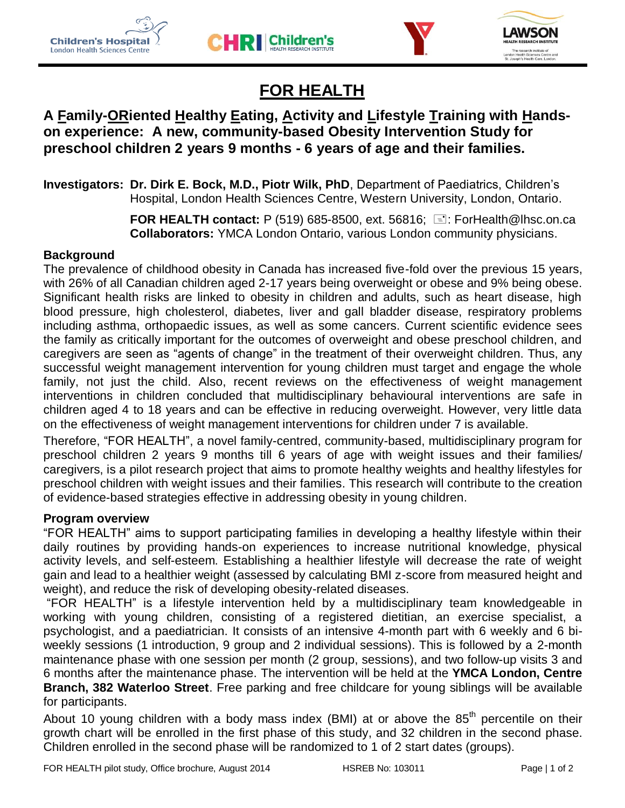







# **FOR HEALTH**

## **A Family-ORiented Healthy Eating, Activity and Lifestyle Training with Handson experience: A new, community-based Obesity Intervention Study for preschool children 2 years 9 months - 6 years of age and their families.**

**Investigators: Dr. Dirk E. Bock, M.D., Piotr Wilk, PhD**, Department of Paediatrics, Children's Hospital, London Health Sciences Centre, Western University, London, Ontario.

> **FOR HEALTH contact:** P (519) 685-8500, ext. 56816; **E: ForHealth@lhsc.on.ca Collaborators:** YMCA London Ontario, various London community physicians.

#### **Background**

The prevalence of childhood obesity in Canada has increased five-fold over the previous 15 years, with 26% of all Canadian children aged 2-17 years being overweight or obese and 9% being obese. Significant health risks are linked to obesity in children and adults, such as heart disease, high blood pressure, high cholesterol, diabetes, liver and gall bladder disease, respiratory problems including asthma, orthopaedic issues, as well as some cancers. Current scientific evidence sees the family as critically important for the outcomes of overweight and obese preschool children, and caregivers are seen as "agents of change" in the treatment of their overweight children. Thus, any successful weight management intervention for young children must target and engage the whole family, not just the child. Also, recent reviews on the effectiveness of weight management interventions in children concluded that multidisciplinary behavioural interventions are safe in children aged 4 to 18 years and can be effective in reducing overweight. However, very little data on the effectiveness of weight management interventions for children under 7 is available.

Therefore, "FOR HEALTH", a novel family-centred, community-based, multidisciplinary program for preschool children 2 years 9 months till 6 years of age with weight issues and their families/ caregivers, is a pilot research project that aims to promote healthy weights and healthy lifestyles for preschool children with weight issues and their families. This research will contribute to the creation of evidence-based strategies effective in addressing obesity in young children.

#### **Program overview**

"FOR HEALTH" aims to support participating families in developing a healthy lifestyle within their daily routines by providing hands-on experiences to increase nutritional knowledge, physical activity levels, and self-esteem. Establishing a healthier lifestyle will decrease the rate of weight gain and lead to a healthier weight (assessed by calculating BMI z-score from measured height and weight), and reduce the risk of developing obesity-related diseases.

"FOR HEALTH" is a lifestyle intervention held by a multidisciplinary team knowledgeable in working with young children, consisting of a registered dietitian, an exercise specialist, a psychologist, and a paediatrician. It consists of an intensive 4-month part with 6 weekly and 6 biweekly sessions (1 introduction, 9 group and 2 individual sessions). This is followed by a 2-month maintenance phase with one session per month (2 group, sessions), and two follow-up visits 3 and 6 months after the maintenance phase. The intervention will be held at the **YMCA London, Centre Branch, 382 Waterloo Street**. Free parking and free childcare for young siblings will be available for participants.

About 10 young children with a body mass index (BMI) at or above the  $85<sup>th</sup>$  percentile on their growth chart will be enrolled in the first phase of this study, and 32 children in the second phase. Children enrolled in the second phase will be randomized to 1 of 2 start dates (groups).